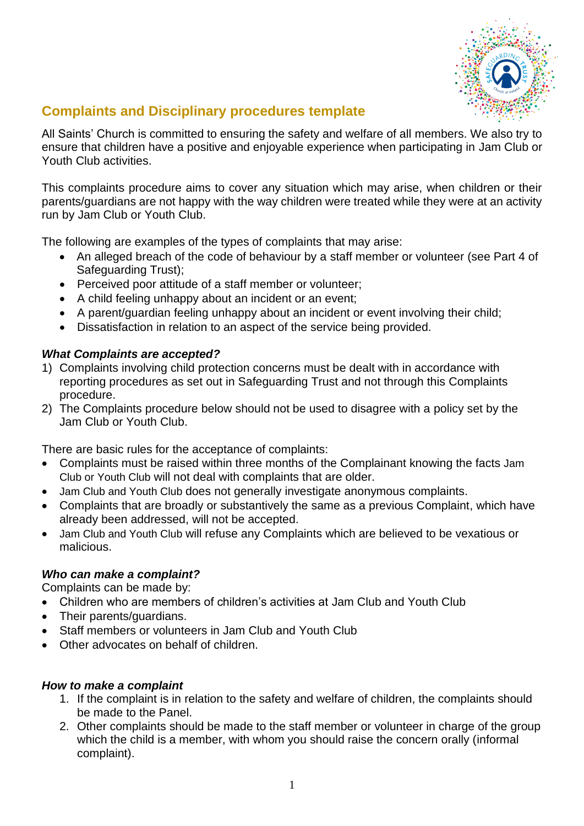

# **Complaints and Disciplinary procedures template**

All Saints' Church is committed to ensuring the safety and welfare of all members. We also try to ensure that children have a positive and enjoyable experience when participating in Jam Club or Youth Club activities.

This complaints procedure aims to cover any situation which may arise, when children or their parents/guardians are not happy with the way children were treated while they were at an activity run by Jam Club or Youth Club.

The following are examples of the types of complaints that may arise:

- An alleged breach of the code of behaviour by a staff member or volunteer (see Part 4 of Safeguarding Trust);
- Perceived poor attitude of a staff member or volunteer;
- A child feeling unhappy about an incident or an event;
- A parent/quardian feeling unhappy about an incident or event involving their child;
- Dissatisfaction in relation to an aspect of the service being provided.

# *What Complaints are accepted?*

- 1) Complaints involving child protection concerns must be dealt with in accordance with reporting procedures as set out in Safeguarding Trust and not through this Complaints procedure.
- 2) The Complaints procedure below should not be used to disagree with a policy set by the Jam Club or Youth Club.

There are basic rules for the acceptance of complaints:

- Complaints must be raised within three months of the Complainant knowing the facts Jam Club or Youth Club will not deal with complaints that are older.
- Jam Club and Youth Club does not generally investigate anonymous complaints.
- Complaints that are broadly or substantively the same as a previous Complaint, which have already been addressed, will not be accepted.
- Jam Club and Youth Club will refuse any Complaints which are believed to be vexatious or malicious.

### *Who can make a complaint?*

Complaints can be made by:

- Children who are members of children's activities at Jam Club and Youth Club
- Their parents/guardians.
- Staff members or volunteers in Jam Club and Youth Club
- Other advocates on behalf of children

### *How to make a complaint*

- 1. If the complaint is in relation to the safety and welfare of children, the complaints should be made to the Panel.
- 2. Other complaints should be made to the staff member or volunteer in charge of the group which the child is a member, with whom you should raise the concern orally (informal complaint).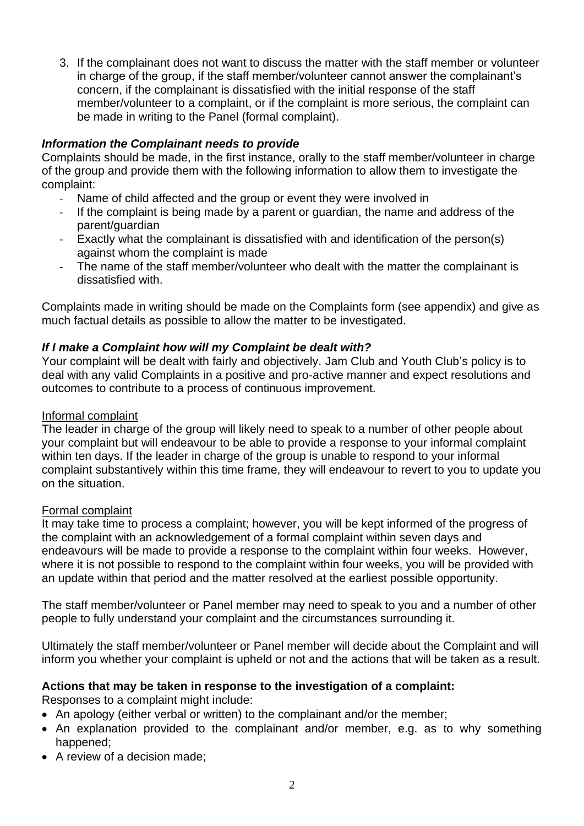3. If the complainant does not want to discuss the matter with the staff member or volunteer in charge of the group, if the staff member/volunteer cannot answer the complainant's concern, if the complainant is dissatisfied with the initial response of the staff member/volunteer to a complaint, or if the complaint is more serious, the complaint can be made in writing to the Panel (formal complaint).

# *Information the Complainant needs to provide*

Complaints should be made, in the first instance, orally to the staff member/volunteer in charge of the group and provide them with the following information to allow them to investigate the complaint:

- Name of child affected and the group or event they were involved in
- If the complaint is being made by a parent or guardian, the name and address of the parent/guardian
- Exactly what the complainant is dissatisfied with and identification of the person(s) against whom the complaint is made
- The name of the staff member/volunteer who dealt with the matter the complainant is dissatisfied with.

Complaints made in writing should be made on the Complaints form (see appendix) and give as much factual details as possible to allow the matter to be investigated.

# *If I make a Complaint how will my Complaint be dealt with?*

Your complaint will be dealt with fairly and objectively. Jam Club and Youth Club's policy is to deal with any valid Complaints in a positive and pro‐active manner and expect resolutions and outcomes to contribute to a process of continuous improvement.

### Informal complaint

The leader in charge of the group will likely need to speak to a number of other people about your complaint but will endeavour to be able to provide a response to your informal complaint within ten days. If the leader in charge of the group is unable to respond to your informal complaint substantively within this time frame, they will endeavour to revert to you to update you on the situation.

### Formal complaint

It may take time to process a complaint; however, you will be kept informed of the progress of the complaint with an acknowledgement of a formal complaint within seven days and endeavours will be made to provide a response to the complaint within four weeks. However, where it is not possible to respond to the complaint within four weeks, you will be provided with an update within that period and the matter resolved at the earliest possible opportunity.

The staff member/volunteer or Panel member may need to speak to you and a number of other people to fully understand your complaint and the circumstances surrounding it.

Ultimately the staff member/volunteer or Panel member will decide about the Complaint and will inform you whether your complaint is upheld or not and the actions that will be taken as a result.

# **Actions that may be taken in response to the investigation of a complaint:**

Responses to a complaint might include:

- An apology (either verbal or written) to the complainant and/or the member;
- An explanation provided to the complainant and/or member, e.g. as to why something happened;
- A review of a decision made;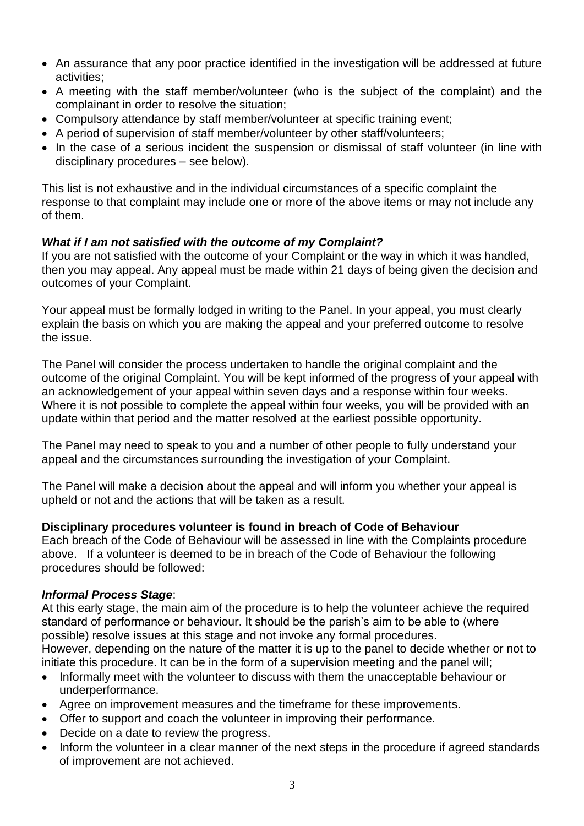- An assurance that any poor practice identified in the investigation will be addressed at future activities;
- A meeting with the staff member/volunteer (who is the subject of the complaint) and the complainant in order to resolve the situation;
- Compulsory attendance by staff member/volunteer at specific training event;
- A period of supervision of staff member/volunteer by other staff/volunteers;
- In the case of a serious incident the suspension or dismissal of staff volunteer (in line with disciplinary procedures – see below).

This list is not exhaustive and in the individual circumstances of a specific complaint the response to that complaint may include one or more of the above items or may not include any of them.

## *What if I am not satisfied with the outcome of my Complaint?*

If you are not satisfied with the outcome of your Complaint or the way in which it was handled, then you may appeal. Any appeal must be made within 21 days of being given the decision and outcomes of your Complaint.

Your appeal must be formally lodged in writing to the Panel. In your appeal, you must clearly explain the basis on which you are making the appeal and your preferred outcome to resolve the issue.

The Panel will consider the process undertaken to handle the original complaint and the outcome of the original Complaint. You will be kept informed of the progress of your appeal with an acknowledgement of your appeal within seven days and a response within four weeks. Where it is not possible to complete the appeal within four weeks, you will be provided with an update within that period and the matter resolved at the earliest possible opportunity.

The Panel may need to speak to you and a number of other people to fully understand your appeal and the circumstances surrounding the investigation of your Complaint.

The Panel will make a decision about the appeal and will inform you whether your appeal is upheld or not and the actions that will be taken as a result.

### **Disciplinary procedures volunteer is found in breach of Code of Behaviour**

Each breach of the Code of Behaviour will be assessed in line with the Complaints procedure above. If a volunteer is deemed to be in breach of the Code of Behaviour the following procedures should be followed:

# *Informal Process Stage*:

At this early stage, the main aim of the procedure is to help the volunteer achieve the required standard of performance or behaviour. It should be the parish's aim to be able to (where possible) resolve issues at this stage and not invoke any formal procedures. However, depending on the nature of the matter it is up to the panel to decide whether or not to

initiate this procedure. It can be in the form of a supervision meeting and the panel will;

- Informally meet with the volunteer to discuss with them the unacceptable behaviour or underperformance.
- Agree on improvement measures and the timeframe for these improvements.
- Offer to support and coach the volunteer in improving their performance.
- Decide on a date to review the progress.
- Inform the volunteer in a clear manner of the next steps in the procedure if agreed standards of improvement are not achieved.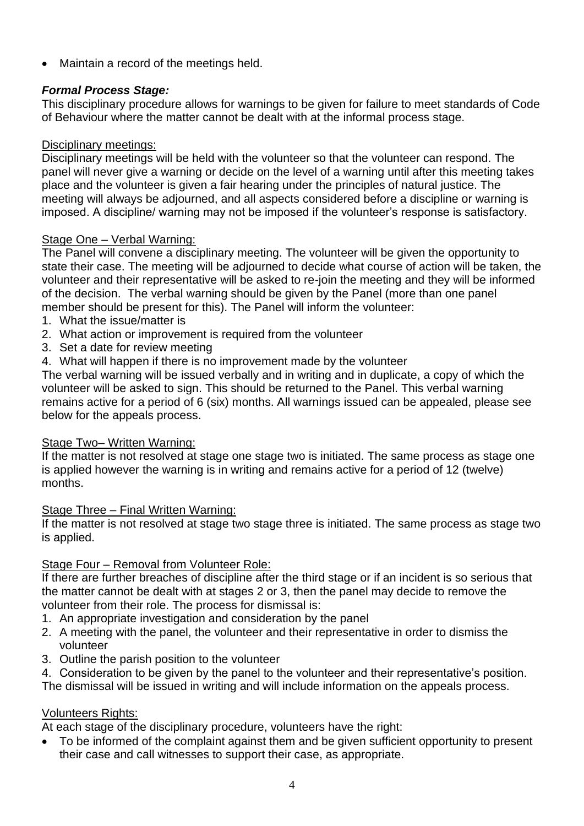• Maintain a record of the meetings held.

# *Formal Process Stage:*

This disciplinary procedure allows for warnings to be given for failure to meet standards of Code of Behaviour where the matter cannot be dealt with at the informal process stage.

# Disciplinary meetings:

Disciplinary meetings will be held with the volunteer so that the volunteer can respond. The panel will never give a warning or decide on the level of a warning until after this meeting takes place and the volunteer is given a fair hearing under the principles of natural justice. The meeting will always be adjourned, and all aspects considered before a discipline or warning is imposed. A discipline/ warning may not be imposed if the volunteer's response is satisfactory.

## Stage One – Verbal Warning:

The Panel will convene a disciplinary meeting. The volunteer will be given the opportunity to state their case. The meeting will be adjourned to decide what course of action will be taken, the volunteer and their representative will be asked to re-join the meeting and they will be informed of the decision. The verbal warning should be given by the Panel (more than one panel member should be present for this). The Panel will inform the volunteer:

- 1. What the issue/matter is
- 2. What action or improvement is required from the volunteer
- 3. Set a date for review meeting
- 4. What will happen if there is no improvement made by the volunteer

The verbal warning will be issued verbally and in writing and in duplicate, a copy of which the volunteer will be asked to sign. This should be returned to the Panel. This verbal warning remains active for a period of 6 (six) months. All warnings issued can be appealed, please see below for the appeals process.

### Stage Two– Written Warning:

If the matter is not resolved at stage one stage two is initiated. The same process as stage one is applied however the warning is in writing and remains active for a period of 12 (twelve) months.

### Stage Three – Final Written Warning:

If the matter is not resolved at stage two stage three is initiated. The same process as stage two is applied.

# Stage Four – Removal from Volunteer Role:

If there are further breaches of discipline after the third stage or if an incident is so serious that the matter cannot be dealt with at stages 2 or 3, then the panel may decide to remove the volunteer from their role. The process for dismissal is:

- 1. An appropriate investigation and consideration by the panel
- 2. A meeting with the panel, the volunteer and their representative in order to dismiss the volunteer
- 3. Outline the parish position to the volunteer
- 4. Consideration to be given by the panel to the volunteer and their representative's position.

The dismissal will be issued in writing and will include information on the appeals process.

# Volunteers Rights:

At each stage of the disciplinary procedure, volunteers have the right:

• To be informed of the complaint against them and be given sufficient opportunity to present their case and call witnesses to support their case, as appropriate.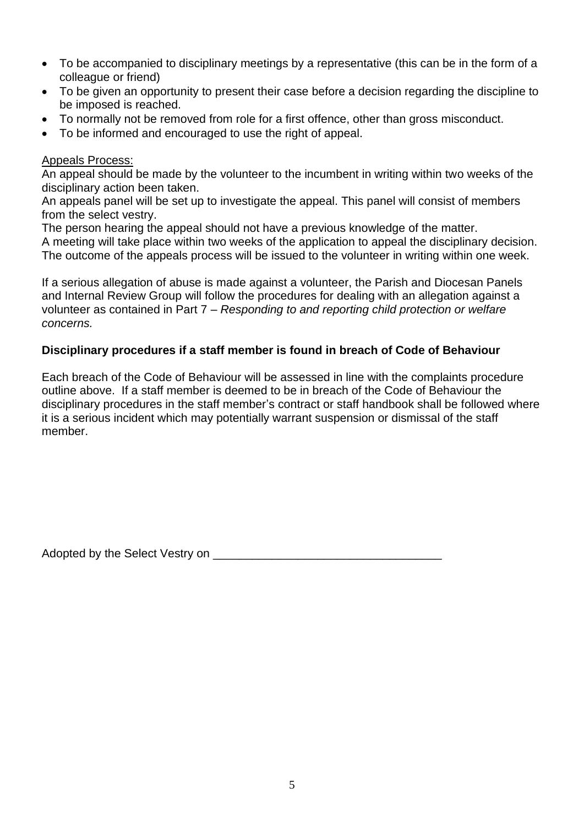- To be accompanied to disciplinary meetings by a representative (this can be in the form of a colleague or friend)
- To be given an opportunity to present their case before a decision regarding the discipline to be imposed is reached.
- To normally not be removed from role for a first offence, other than gross misconduct.
- To be informed and encouraged to use the right of appeal.

## Appeals Process:

An appeal should be made by the volunteer to the incumbent in writing within two weeks of the disciplinary action been taken.

An appeals panel will be set up to investigate the appeal. This panel will consist of members from the select vestry.

The person hearing the appeal should not have a previous knowledge of the matter.

A meeting will take place within two weeks of the application to appeal the disciplinary decision. The outcome of the appeals process will be issued to the volunteer in writing within one week.

If a serious allegation of abuse is made against a volunteer, the Parish and Diocesan Panels and Internal Review Group will follow the procedures for dealing with an allegation against a volunteer as contained in Part 7 – *Responding to and reporting child protection or welfare concerns.*

# **Disciplinary procedures if a staff member is found in breach of Code of Behaviour**

Each breach of the Code of Behaviour will be assessed in line with the complaints procedure outline above. If a staff member is deemed to be in breach of the Code of Behaviour the disciplinary procedures in the staff member's contract or staff handbook shall be followed where it is a serious incident which may potentially warrant suspension or dismissal of the staff member.

Adopted by the Select Vestry on \_\_\_\_\_\_\_\_\_\_\_\_\_\_\_\_\_\_\_\_\_\_\_\_\_\_\_\_\_\_\_\_\_\_\_